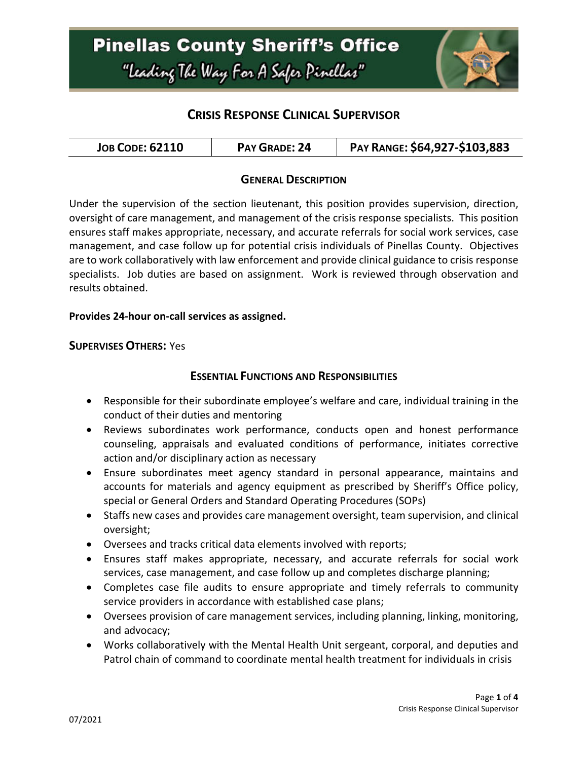

## **CRISIS RESPONSE CLINICAL SUPERVISOR**

| <b>JOB CODE: 62110</b> | <b>PAY GRADE: 24</b> | PAY RANGE: \$64,927-\$103,883 |
|------------------------|----------------------|-------------------------------|
|------------------------|----------------------|-------------------------------|

#### **GENERAL DESCRIPTION**

Under the supervision of the section lieutenant, this position provides supervision, direction, oversight of care management, and management of the crisis response specialists. This position ensures staff makes appropriate, necessary, and accurate referrals for social work services, case management, and case follow up for potential crisis individuals of Pinellas County. Objectives are to work collaboratively with law enforcement and provide clinical guidance to crisis response specialists. Job duties are based on assignment. Work is reviewed through observation and results obtained.

#### **Provides 24-hour on-call services as assigned.**

#### **SUPERVISES OTHERS:** Yes

#### **ESSENTIAL FUNCTIONS AND RESPONSIBILITIES**

- Responsible for their subordinate employee's welfare and care, individual training in the conduct of their duties and mentoring
- Reviews subordinates work performance, conducts open and honest performance counseling, appraisals and evaluated conditions of performance, initiates corrective action and/or disciplinary action as necessary
- Ensure subordinates meet agency standard in personal appearance, maintains and accounts for materials and agency equipment as prescribed by Sheriff's Office policy, special or General Orders and Standard Operating Procedures (SOPs)
- Staffs new cases and provides care management oversight, team supervision, and clinical oversight;
- Oversees and tracks critical data elements involved with reports;
- Ensures staff makes appropriate, necessary, and accurate referrals for social work services, case management, and case follow up and completes discharge planning;
- Completes case file audits to ensure appropriate and timely referrals to community service providers in accordance with established case plans;
- Oversees provision of care management services, including planning, linking, monitoring, and advocacy;
- Works collaboratively with the Mental Health Unit sergeant, corporal, and deputies and Patrol chain of command to coordinate mental health treatment for individuals in crisis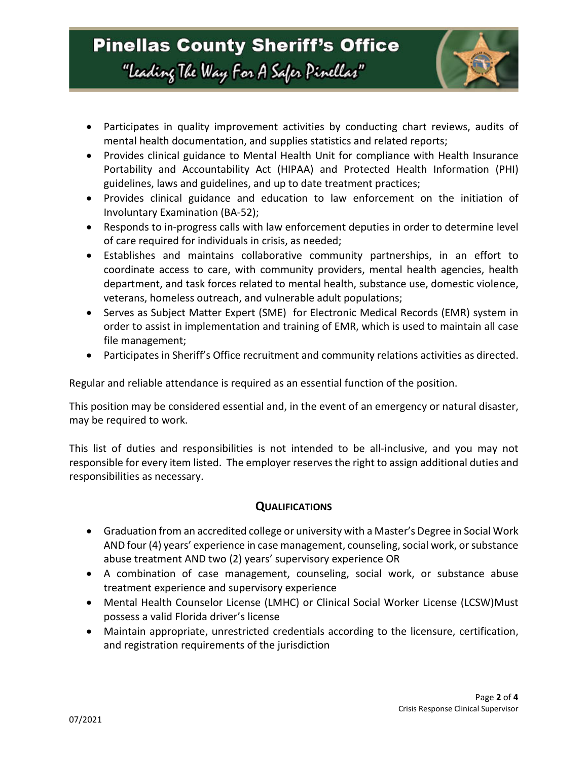

- Participates in quality improvement activities by conducting chart reviews, audits of mental health documentation, and supplies statistics and related reports;
- Provides clinical guidance to Mental Health Unit for compliance with Health Insurance Portability and Accountability Act (HIPAA) and Protected Health Information (PHI) guidelines, laws and guidelines, and up to date treatment practices;
- Provides clinical guidance and education to law enforcement on the initiation of Involuntary Examination (BA-52);
- Responds to in-progress calls with law enforcement deputies in order to determine level of care required for individuals in crisis, as needed;
- Establishes and maintains collaborative community partnerships, in an effort to coordinate access to care, with community providers, mental health agencies, health department, and task forces related to mental health, substance use, domestic violence, veterans, homeless outreach, and vulnerable adult populations;
- Serves as Subject Matter Expert (SME) for Electronic Medical Records (EMR) system in order to assist in implementation and training of EMR, which is used to maintain all case file management;
- Participates in Sheriff's Office recruitment and community relations activities as directed.

Regular and reliable attendance is required as an essential function of the position.

This position may be considered essential and, in the event of an emergency or natural disaster, may be required to work.

This list of duties and responsibilities is not intended to be all-inclusive, and you may not responsible for every item listed. The employer reserves the right to assign additional duties and responsibilities as necessary.

#### **QUALIFICATIONS**

- Graduation from an accredited college or university with a Master's Degree in Social Work AND four (4) years' experience in case management, counseling, social work, or substance abuse treatment AND two (2) years' supervisory experience OR
- A combination of case management, counseling, social work, or substance abuse treatment experience and supervisory experience
- Mental Health Counselor License (LMHC) or Clinical Social Worker License (LCSW)Must possess a valid Florida driver's license
- Maintain appropriate, unrestricted credentials according to the licensure, certification, and registration requirements of the jurisdiction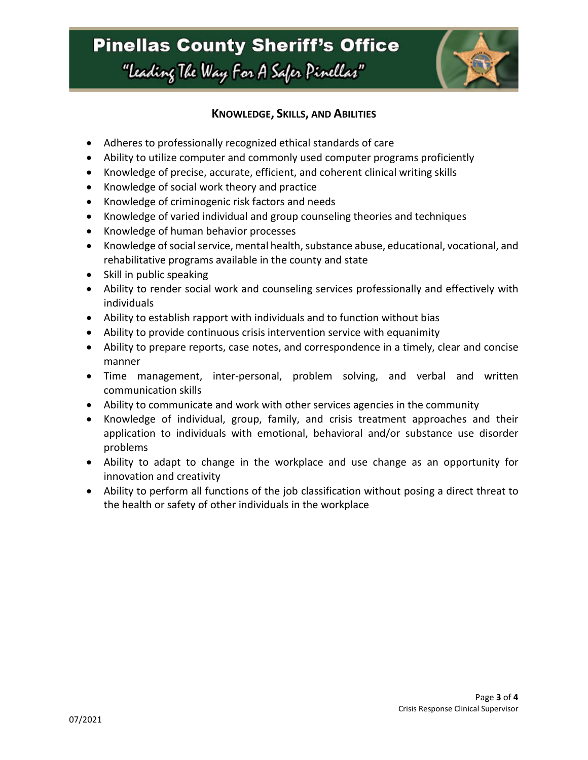## **Pinellas County Sheriff's Office** "Leading The Way For A Safer Pinellar"



### **KNOWLEDGE, SKILLS, AND ABILITIES**

- Adheres to professionally recognized ethical standards of care
- Ability to utilize computer and commonly used computer programs proficiently
- Knowledge of precise, accurate, efficient, and coherent clinical writing skills
- Knowledge of social work theory and practice
- Knowledge of criminogenic risk factors and needs
- Knowledge of varied individual and group counseling theories and techniques
- Knowledge of human behavior processes
- Knowledge of social service, mental health, substance abuse, educational, vocational, and rehabilitative programs available in the county and state
- Skill in public speaking
- Ability to render social work and counseling services professionally and effectively with individuals
- Ability to establish rapport with individuals and to function without bias
- Ability to provide continuous crisis intervention service with equanimity
- Ability to prepare reports, case notes, and correspondence in a timely, clear and concise manner
- Time management, inter-personal, problem solving, and verbal and written communication skills
- Ability to communicate and work with other services agencies in the community
- Knowledge of individual, group, family, and crisis treatment approaches and their application to individuals with emotional, behavioral and/or substance use disorder problems
- Ability to adapt to change in the workplace and use change as an opportunity for innovation and creativity
- Ability to perform all functions of the job classification without posing a direct threat to the health or safety of other individuals in the workplace